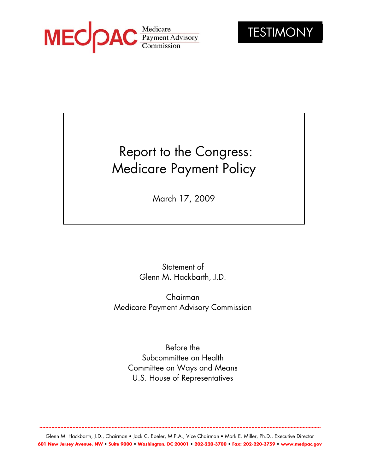



# Report to the Congress: Medicare Payment Policy

March 17, 2009

Statement of Glenn M. Hackbarth, J.D.

Chairman Medicare Payment Advisory Commission

Before the Subcommittee on Health Committee on Ways and Means U.S. House of Representatives

Glenn M. Hackbarth, J.D., Chairman • Jack C. Ebeler, M.P.A., Vice Chairman • Mark E. Miller, Ph.D., Executive Director **601 New Jersey Avenue, NW • Suite 9000 • Washington, DC 20001 • 202-220-3700 • Fax: 202-220-3759 • www.medpac.gov** 

**...........................................................................................................................................................................................**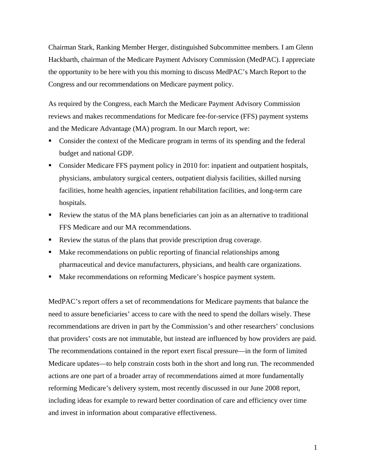Chairman Stark, Ranking Member Herger, distinguished Subcommittee members. I am Glenn Hackbarth, chairman of the Medicare Payment Advisory Commission (MedPAC). I appreciate the opportunity to be here with you this morning to discuss MedPAC's March Report to the Congress and our recommendations on Medicare payment policy.

As required by the Congress, each March the Medicare Payment Advisory Commission reviews and makes recommendations for Medicare fee-for-service (FFS) payment systems and the Medicare Advantage (MA) program. In our March report, we:

- Consider the context of the Medicare program in terms of its spending and the federal budget and national GDP.
- Consider Medicare FFS payment policy in 2010 for: inpatient and outpatient hospitals, physicians, ambulatory surgical centers, outpatient dialysis facilities, skilled nursing facilities, home health agencies, inpatient rehabilitation facilities, and long-term care hospitals.
- Review the status of the MA plans beneficiaries can join as an alternative to traditional FFS Medicare and our MA recommendations.
- Review the status of the plans that provide prescription drug coverage.
- Make recommendations on public reporting of financial relationships among pharmaceutical and device manufacturers, physicians, and health care organizations.
- Make recommendations on reforming Medicare's hospice payment system.

MedPAC's report offers a set of recommendations for Medicare payments that balance the need to assure beneficiaries' access to care with the need to spend the dollars wisely. These recommendations are driven in part by the Commission's and other researchers' conclusions that providers' costs are not immutable, but instead are influenced by how providers are paid. The recommendations contained in the report exert fiscal pressure—in the form of limited Medicare updates—to help constrain costs both in the short and long run. The recommended actions are one part of a broader array of recommendations aimed at more fundamentally reforming Medicare's delivery system, most recently discussed in our June 2008 report, including ideas for example to reward better coordination of care and efficiency over time and invest in information about comparative effectiveness.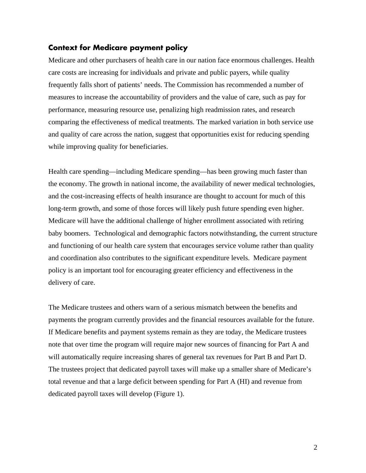## **Context for Medicare payment policy**

Medicare and other purchasers of health care in our nation face enormous challenges. Health care costs are increasing for individuals and private and public payers, while quality frequently falls short of patients' needs. The Commission has recommended a number of measures to increase the accountability of providers and the value of care, such as pay for performance, measuring resource use, penalizing high readmission rates, and research comparing the effectiveness of medical treatments. The marked variation in both service use and quality of care across the nation, suggest that opportunities exist for reducing spending while improving quality for beneficiaries.

Health care spending—including Medicare spending—has been growing much faster than the economy. The growth in national income, the availability of newer medical technologies, and the cost-increasing effects of health insurance are thought to account for much of this long-term growth, and some of those forces will likely push future spending even higher. Medicare will have the additional challenge of higher enrollment associated with retiring baby boomers. Technological and demographic factors notwithstanding, the current structure and functioning of our health care system that encourages service volume rather than quality and coordination also contributes to the significant expenditure levels. Medicare payment policy is an important tool for encouraging greater efficiency and effectiveness in the delivery of care.

The Medicare trustees and others warn of a serious mismatch between the benefits and payments the program currently provides and the financial resources available for the future. If Medicare benefits and payment systems remain as they are today, the Medicare trustees note that over time the program will require major new sources of financing for Part A and will automatically require increasing shares of general tax revenues for Part B and Part D. The trustees project that dedicated payroll taxes will make up a smaller share of Medicare's total revenue and that a large deficit between spending for Part A (HI) and revenue from dedicated payroll taxes will develop (Figure 1).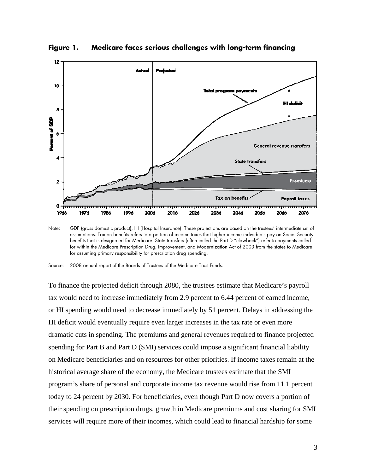

**Figure 1. Medicare faces serious challenges with long-term financing** 

Note: GDP (gross domestic product), HI (Hospital Insurance). These projections are based on the trustees' intermediate set of assumptions. Tax on benefits refers to a portion of income taxes that higher income individuals pay on Social Security benefits that is designated for Medicare. State transfers (often called the Part D "clawback") refer to payments called for within the Medicare Prescription Drug, Improvement, and Modernization Act of 2003 from the states to Medicare for assuming primary responsibility for prescription drug spending.

To finance the projected deficit through 2080, the trustees estimate that Medicare's payroll tax would need to increase immediately from 2.9 percent to 6.44 percent of earned income, or HI spending would need to decrease immediately by 51 percent. Delays in addressing the HI deficit would eventually require even larger increases in the tax rate or even more dramatic cuts in spending. The premiums and general revenues required to finance projected spending for Part B and Part D (SMI) services could impose a significant financial liability on Medicare beneficiaries and on resources for other priorities. If income taxes remain at the historical average share of the economy, the Medicare trustees estimate that the SMI program's share of personal and corporate income tax revenue would rise from 11.1 percent today to 24 percent by 2030. For beneficiaries, even though Part D now covers a portion of their spending on prescription drugs, growth in Medicare premiums and cost sharing for SMI services will require more of their incomes, which could lead to financial hardship for some

Source: 2008 annual report of the Boards of Trustees of the Medicare Trust Funds.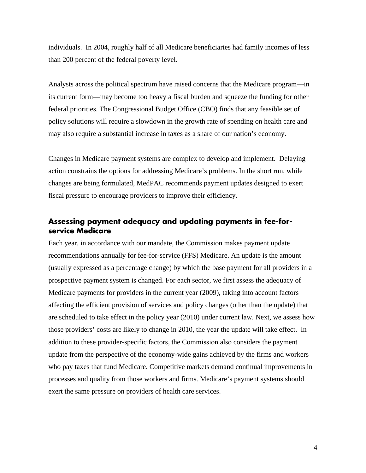individuals. In 2004, roughly half of all Medicare beneficiaries had family incomes of less than 200 percent of the federal poverty level.

Analysts across the political spectrum have raised concerns that the Medicare program—in its current form—may become too heavy a fiscal burden and squeeze the funding for other federal priorities. The Congressional Budget Office (CBO) finds that any feasible set of policy solutions will require a slowdown in the growth rate of spending on health care and may also require a substantial increase in taxes as a share of our nation's economy.

Changes in Medicare payment systems are complex to develop and implement. Delaying action constrains the options for addressing Medicare's problems. In the short run, while changes are being formulated, MedPAC recommends payment updates designed to exert fiscal pressure to encourage providers to improve their efficiency.

# **Assessing payment adequacy and updating payments in fee-forservice Medicare**

Each year, in accordance with our mandate, the Commission makes payment update recommendations annually for fee-for-service (FFS) Medicare. An update is the amount (usually expressed as a percentage change) by which the base payment for all providers in a prospective payment system is changed. For each sector, we first assess the adequacy of Medicare payments for providers in the current year (2009), taking into account factors affecting the efficient provision of services and policy changes (other than the update) that are scheduled to take effect in the policy year (2010) under current law. Next, we assess how those providers' costs are likely to change in 2010, the year the update will take effect. In addition to these provider-specific factors, the Commission also considers the payment update from the perspective of the economy-wide gains achieved by the firms and workers who pay taxes that fund Medicare. Competitive markets demand continual improvements in processes and quality from those workers and firms. Medicare's payment systems should exert the same pressure on providers of health care services.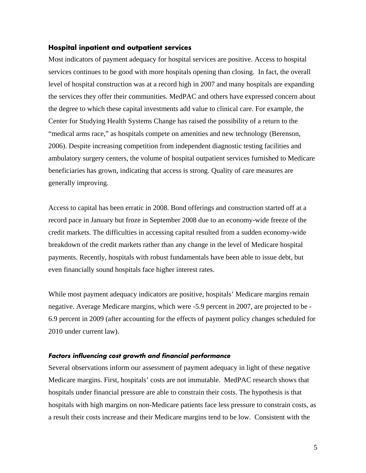#### **Hospital inpatient and outpatient services**

Most indicators of payment adequacy for hospital services are positive. Access to hospital services continues to be good with more hospitals opening than closing. In fact, the overall level of hospital construction was at a record high in 2007 and many hospitals are expanding the services they offer their communities. MedPAC and others have expressed concern about the degree to which these capital investments add value to clinical care. For example, the Center for Studying Health Systems Change has raised the possibility of a return to the "medical arms race," as hospitals compete on amenities and new technology (Berenson, 2006). Despite increasing competition from independent diagnostic testing facilities and ambulatory surgery centers, the volume of hospital outpatient services furnished to Medicare beneficiaries has grown, indicating that access is strong. Quality of care measures are generally improving.

Access to capital has been erratic in 2008. Bond offerings and construction started off at a record pace in January but froze in September 2008 due to an economy-wide freeze of the credit markets. The difficulties in accessing capital resulted from a sudden economy-wide breakdown of the credit markets rather than any change in the level of Medicare hospital payments. Recently, hospitals with robust fundamentals have been able to issue debt, but even financially sound hospitals face higher interest rates.

While most payment adequacy indicators are positive, hospitals' Medicare margins remain negative. Average Medicare margins, which were -5.9 percent in 2007, are projected to be - 6.9 percent in 2009 (after accounting for the effects of payment policy changes scheduled for 2010 under current law).

#### **Factors influencing cost growth and financial performance**

Several observations inform our assessment of payment adequacy in light of these negative Medicare margins. First, hospitals' costs are not immutable. MedPAC research shows that hospitals under financial pressure are able to constrain their costs. The hypothesis is that hospitals with high margins on non-Medicare patients face less pressure to constrain costs, as a result their costs increase and their Medicare margins tend to be low. Consistent with the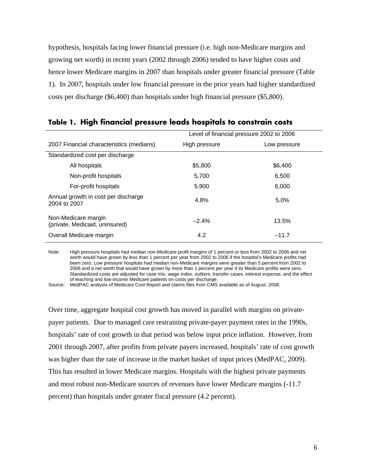hypothesis, hospitals facing lower financial pressure (i.e. high non-Medicare margins and growing net worth) in recent years (2002 through 2006) tended to have higher costs and hence lower Medicare margins in 2007 than hospitals under greater financial pressure (Table 1). In 2007, hospitals under low financial pressure in the prior years had higher standardized costs per discharge (\$6,400) than hospitals under high financial pressure (\$5,800).

|                                                       | Level of financial pressure 2002 to 2006 |              |  |
|-------------------------------------------------------|------------------------------------------|--------------|--|
| 2007 Financial characteristics (medians)              | High pressure                            | Low pressure |  |
| Standardized cost per discharge                       |                                          |              |  |
| All hospitals                                         | \$5,800                                  | \$6,400      |  |
| Non-profit hospitals                                  | 5.700                                    | 6,500        |  |
| For-profit hospitals                                  | 5,900                                    | 6,000        |  |
| Annual growth in cost per discharge<br>2004 to 2007   | 4.8%                                     | 5.0%         |  |
| Non-Medicare margin<br>(private, Medicaid, uninsured) | $-2.4%$                                  | 13.5%        |  |
| Overall Medicare margin                               | 4.2                                      | $-11.7$      |  |

## **Table 1. High financial pressure leads hospitals to constrain costs**

Note: High pressure hospitals had median non-Medicare profit margins of 1 percent or less from 2002 to 2006 and net worth would have grown by less than 1 percent per year from 2002 to 2006 if the hospital's Medicare profits had been zero. Low pressure hospitals had median non-Medicare margins were greater than 5 percent from 2002 to 2006 and a net worth that would have grown by more than 1 percent per year if its Medicare profits were zero. Standardized costs are adjusted for case mix, wage index, outliers, transfer cases, interest expense, and the effect of teaching and low-income Medicare patients on costs per discharge.

Source: MedPAC analysis of Medicare Cost Report and claims files from CMS available as of August, 2008.

Over time, aggregate hospital cost growth has moved in parallel with margins on privatepayer patients. Due to managed care restraining private-payer payment rates in the 1990s, hospitals' rate of cost growth in that period was below input price inflation. However, from 2001 through 2007, after profits from private payers increased, hospitals' rate of cost growth was higher than the rate of increase in the market basket of input prices (MedPAC, 2009). This has resulted in lower Medicare margins. Hospitals with the highest private payments and most robust non-Medicare sources of revenues have lower Medicare margins (-11.7 percent) than hospitals under greater fiscal pressure (4.2 percent).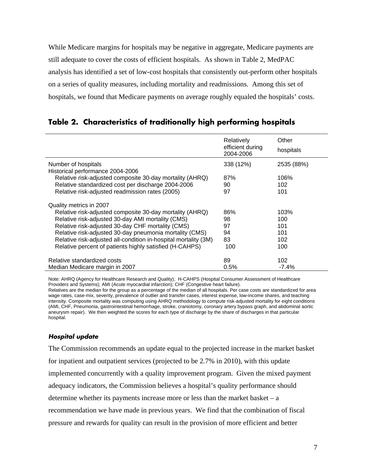While Medicare margins for hospitals may be negative in aggregate, Medicare payments are still adequate to cover the costs of efficient hospitals. As shown in Table 2, MedPAC analysis has identified a set of low-cost hospitals that consistently out-perform other hospitals on a series of quality measures, including mortality and readmissions. Among this set of hospitals, we found that Medicare payments on average roughly equaled the hospitals' costs.

|                                                                 | Relatively<br>efficient during<br>2004-2006 | Other<br>hospitals |
|-----------------------------------------------------------------|---------------------------------------------|--------------------|
| Number of hospitals                                             | 338 (12%)                                   | 2535 (88%)         |
| Historical performance 2004-2006                                |                                             |                    |
| Relative risk-adjusted composite 30-day mortality (AHRQ)        | 87%                                         | 106%               |
| Relative standardized cost per discharge 2004-2006              | 90                                          | 102                |
| Relative risk-adjusted readmission rates (2005)                 | 97                                          | 101                |
| Quality metrics in 2007                                         |                                             |                    |
| Relative risk-adjusted composite 30-day mortality (AHRQ)        | 86%                                         | 103%               |
| Relative risk-adjusted 30-day AMI mortality (CMS)               | 98                                          | 100                |
| Relative risk-adjusted 30-day CHF mortality (CMS)               | 97                                          | 101                |
| Relative risk-adjusted 30-day pneumonia mortality (CMS)         | 94                                          | 101                |
| Relative risk-adjusted all-condition in-hospital mortality (3M) | 83                                          | 102                |
| Relative percent of patients highly satisfied (H-CAHPS)         | 100                                         | 100                |
| Relative standardized costs                                     | 89                                          | 102                |
| Median Medicare margin in 2007                                  | 0.5%                                        | $-7.4%$            |

## **Table 2. Characteristics of traditionally high performing hospitals**

Note: AHRQ (Agency for Healthcare Research and Quality); H-CAHPS (Hospital Consumer Assessment of Healthcare Providers and Systems); AMI (Acute myocardial infarction); CHF (Congestive heart failure).

Relatives are the median for the group as a percentage of the median of all hospitals. Per case costs are standardized for area wage rates, case-mix, severity, prevalence of outlier and transfer cases, interest expense, low-income shares, and teaching intensity. Composite mortality was computing using AHRQ methodology to compute risk-adjusted mortality for eight conditions (AMI, CHF, Pneumonia, gastrointestinal hemorrhage, stroke, craniotomy, coronary artery bypass graph, and abdominal aortic aneurysm repair). We then weighted the scores for each type of discharge by the share of discharges in that particular hospital.

## **Hospital update**

The Commission recommends an update equal to the projected increase in the market basket for inpatient and outpatient services (projected to be 2.7% in 2010), with this update implemented concurrently with a quality improvement program. Given the mixed payment adequacy indicators, the Commission believes a hospital's quality performance should determine whether its payments increase more or less than the market basket – a recommendation we have made in previous years. We find that the combination of fiscal pressure and rewards for quality can result in the provision of more efficient and better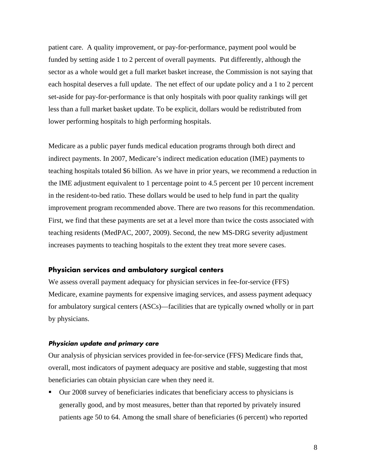patient care. A quality improvement, or pay-for-performance, payment pool would be funded by setting aside 1 to 2 percent of overall payments. Put differently, although the sector as a whole would get a full market basket increase, the Commission is not saying that each hospital deserves a full update. The net effect of our update policy and a 1 to 2 percent set-aside for pay-for-performance is that only hospitals with poor quality rankings will get less than a full market basket update. To be explicit, dollars would be redistributed from lower performing hospitals to high performing hospitals.

Medicare as a public payer funds medical education programs through both direct and indirect payments. In 2007, Medicare's indirect medication education (IME) payments to teaching hospitals totaled \$6 billion. As we have in prior years, we recommend a reduction in the IME adjustment equivalent to 1 percentage point to 4.5 percent per 10 percent increment in the resident-to-bed ratio. These dollars would be used to help fund in part the quality improvement program recommended above. There are two reasons for this recommendation. First, we find that these payments are set at a level more than twice the costs associated with teaching residents (MedPAC, 2007, 2009). Second, the new MS-DRG severity adjustment increases payments to teaching hospitals to the extent they treat more severe cases.

## **Physician services and ambulatory surgical centers**

We assess overall payment adequacy for physician services in fee-for-service (FFS) Medicare, examine payments for expensive imaging services, and assess payment adequacy for ambulatory surgical centers (ASCs)—facilities that are typically owned wholly or in part by physicians.

#### **Physician update and primary care**

Our analysis of physician services provided in fee-for-service (FFS) Medicare finds that, overall, most indicators of payment adequacy are positive and stable, suggesting that most beneficiaries can obtain physician care when they need it.

 Our 2008 survey of beneficiaries indicates that beneficiary access to physicians is generally good, and by most measures, better than that reported by privately insured patients age 50 to 64. Among the small share of beneficiaries (6 percent) who reported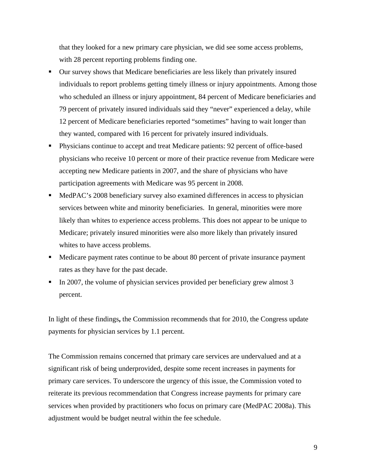that they looked for a new primary care physician, we did see some access problems, with 28 percent reporting problems finding one.

- Our survey shows that Medicare beneficiaries are less likely than privately insured individuals to report problems getting timely illness or injury appointments. Among those who scheduled an illness or injury appointment, 84 percent of Medicare beneficiaries and 79 percent of privately insured individuals said they "never" experienced a delay, while 12 percent of Medicare beneficiaries reported "sometimes" having to wait longer than they wanted, compared with 16 percent for privately insured individuals.
- Physicians continue to accept and treat Medicare patients: 92 percent of office-based physicians who receive 10 percent or more of their practice revenue from Medicare were accepting new Medicare patients in 2007, and the share of physicians who have participation agreements with Medicare was 95 percent in 2008.
- MedPAC's 2008 beneficiary survey also examined differences in access to physician services between white and minority beneficiaries. In general, minorities were more likely than whites to experience access problems. This does not appear to be unique to Medicare; privately insured minorities were also more likely than privately insured whites to have access problems.
- Medicare payment rates continue to be about 80 percent of private insurance payment rates as they have for the past decade.
- In 2007, the volume of physician services provided per beneficiary grew almost 3 percent.

In light of these findings**,** the Commission recommends that for 2010, the Congress update payments for physician services by 1.1 percent.

The Commission remains concerned that primary care services are undervalued and at a significant risk of being underprovided, despite some recent increases in payments for primary care services. To underscore the urgency of this issue, the Commission voted to reiterate its previous recommendation that Congress increase payments for primary care services when provided by practitioners who focus on primary care (MedPAC 2008a). This adjustment would be budget neutral within the fee schedule.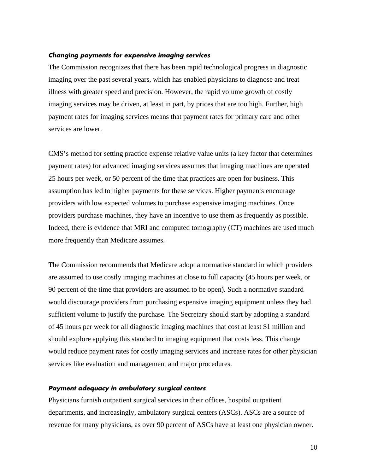#### **Changing payments for expensive imaging services**

The Commission recognizes that there has been rapid technological progress in diagnostic imaging over the past several years, which has enabled physicians to diagnose and treat illness with greater speed and precision. However, the rapid volume growth of costly imaging services may be driven, at least in part, by prices that are too high. Further, high payment rates for imaging services means that payment rates for primary care and other services are lower.

CMS's method for setting practice expense relative value units (a key factor that determines payment rates) for advanced imaging services assumes that imaging machines are operated 25 hours per week, or 50 percent of the time that practices are open for business. This assumption has led to higher payments for these services. Higher payments encourage providers with low expected volumes to purchase expensive imaging machines. Once providers purchase machines, they have an incentive to use them as frequently as possible. Indeed, there is evidence that MRI and computed tomography (CT) machines are used much more frequently than Medicare assumes.

The Commission recommends that Medicare adopt a normative standard in which providers are assumed to use costly imaging machines at close to full capacity (45 hours per week, or 90 percent of the time that providers are assumed to be open). Such a normative standard would discourage providers from purchasing expensive imaging equipment unless they had sufficient volume to justify the purchase. The Secretary should start by adopting a standard of 45 hours per week for all diagnostic imaging machines that cost at least \$1 million and should explore applying this standard to imaging equipment that costs less. This change would reduce payment rates for costly imaging services and increase rates for other physician services like evaluation and management and major procedures.

#### **Payment adequacy in ambulatory surgical centers**

Physicians furnish outpatient surgical services in their offices, hospital outpatient departments, and increasingly, ambulatory surgical centers (ASCs). ASCs are a source of revenue for many physicians, as over 90 percent of ASCs have at least one physician owner.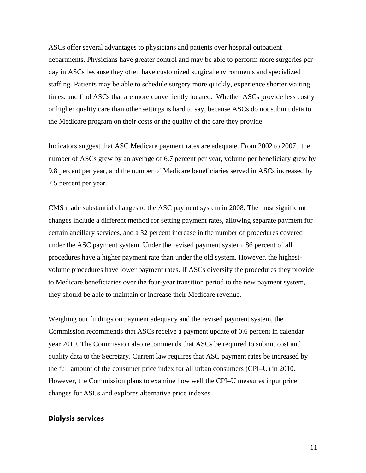ASCs offer several advantages to physicians and patients over hospital outpatient departments. Physicians have greater control and may be able to perform more surgeries per day in ASCs because they often have customized surgical environments and specialized staffing. Patients may be able to schedule surgery more quickly, experience shorter waiting times, and find ASCs that are more conveniently located. Whether ASCs provide less costly or higher quality care than other settings is hard to say, because ASCs do not submit data to the Medicare program on their costs or the quality of the care they provide.

Indicators suggest that ASC Medicare payment rates are adequate. From 2002 to 2007, the number of ASCs grew by an average of 6.7 percent per year, volume per beneficiary grew by 9.8 percent per year, and the number of Medicare beneficiaries served in ASCs increased by 7.5 percent per year.

CMS made substantial changes to the ASC payment system in 2008. The most significant changes include a different method for setting payment rates, allowing separate payment for certain ancillary services, and a 32 percent increase in the number of procedures covered under the ASC payment system. Under the revised payment system, 86 percent of all procedures have a higher payment rate than under the old system. However, the highestvolume procedures have lower payment rates. If ASCs diversify the procedures they provide to Medicare beneficiaries over the four-year transition period to the new payment system, they should be able to maintain or increase their Medicare revenue.

Weighing our findings on payment adequacy and the revised payment system, the Commission recommends that ASCs receive a payment update of 0.6 percent in calendar year 2010. The Commission also recommends that ASCs be required to submit cost and quality data to the Secretary. Current law requires that ASC payment rates be increased by the full amount of the consumer price index for all urban consumers (CPI–U) in 2010. However, the Commission plans to examine how well the CPI–U measures input price changes for ASCs and explores alternative price indexes.

#### **Dialysis services**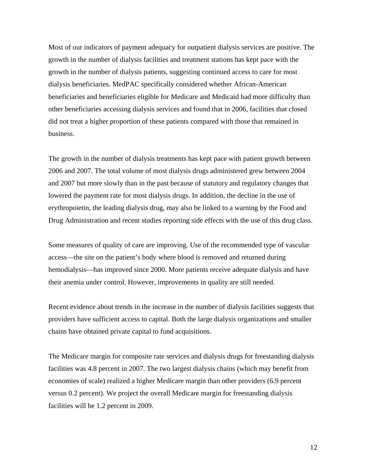Most of our indicators of payment adequacy for outpatient dialysis services are positive. The growth in the number of dialysis facilities and treatment stations has kept pace with the growth in the number of dialysis patients, suggesting continued access to care for most dialysis beneficiaries. MedPAC specifically considered whether African-American beneficiaries and beneficiaries eligible for Medicare and Medicaid had more difficulty than other beneficiaries accessing dialysis services and found that in 2006, facilities that closed did not treat a higher proportion of these patients compared with those that remained in business.

The growth in the number of dialysis treatments has kept pace with patient growth between 2006 and 2007. The total volume of most dialysis drugs administered grew between 2004 and 2007 but more slowly than in the past because of statutory and regulatory changes that lowered the payment rate for most dialysis drugs. In addition, the decline in the use of erythropoietin, the leading dialysis drug, may also be linked to a warning by the Food and Drug Administration and recent studies reporting side effects with the use of this drug class.

Some measures of quality of care are improving. Use of the recommended type of vascular access—the site on the patient's body where blood is removed and returned during hemodialysis—has improved since 2000. More patients receive adequate dialysis and have their anemia under control. However, improvements in quality are still needed.

Recent evidence about trends in the increase in the number of dialysis facilities suggests that providers have sufficient access to capital. Both the large dialysis organizations and smaller chains have obtained private capital to fund acquisitions.

The Medicare margin for composite rate services and dialysis drugs for freestanding dialysis facilities was 4.8 percent in 2007. The two largest dialysis chains (which may benefit from economies of scale) realized a higher Medicare margin than other providers (6.9 percent versus 0.2 percent). We project the overall Medicare margin for freestanding dialysis facilities will be 1.2 percent in 2009.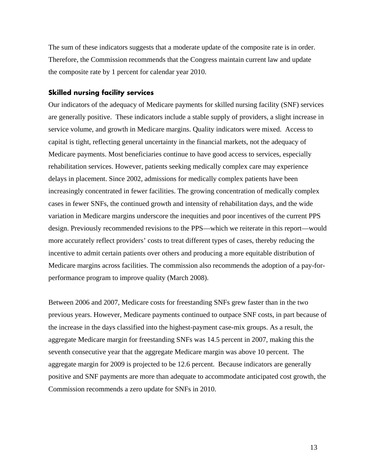The sum of these indicators suggests that a moderate update of the composite rate is in order. Therefore, the Commission recommends that the Congress maintain current law and update the composite rate by 1 percent for calendar year 2010.

## **Skilled nursing facility services**

Our indicators of the adequacy of Medicare payments for skilled nursing facility (SNF) services are generally positive. These indicators include a stable supply of providers, a slight increase in service volume, and growth in Medicare margins. Quality indicators were mixed. Access to capital is tight, reflecting general uncertainty in the financial markets, not the adequacy of Medicare payments. Most beneficiaries continue to have good access to services, especially rehabilitation services. However, patients seeking medically complex care may experience delays in placement. Since 2002, admissions for medically complex patients have been increasingly concentrated in fewer facilities. The growing concentration of medically complex cases in fewer SNFs, the continued growth and intensity of rehabilitation days, and the wide variation in Medicare margins underscore the inequities and poor incentives of the current PPS design. Previously recommended revisions to the PPS—which we reiterate in this report—would more accurately reflect providers' costs to treat different types of cases, thereby reducing the incentive to admit certain patients over others and producing a more equitable distribution of Medicare margins across facilities. The commission also recommends the adoption of a pay-forperformance program to improve quality (March 2008).

Between 2006 and 2007, Medicare costs for freestanding SNFs grew faster than in the two previous years. However, Medicare payments continued to outpace SNF costs, in part because of the increase in the days classified into the highest-payment case-mix groups. As a result, the aggregate Medicare margin for freestanding SNFs was 14.5 percent in 2007, making this the seventh consecutive year that the aggregate Medicare margin was above 10 percent. The aggregate margin for 2009 is projected to be 12.6 percent. Because indicators are generally positive and SNF payments are more than adequate to accommodate anticipated cost growth, the Commission recommends a zero update for SNFs in 2010.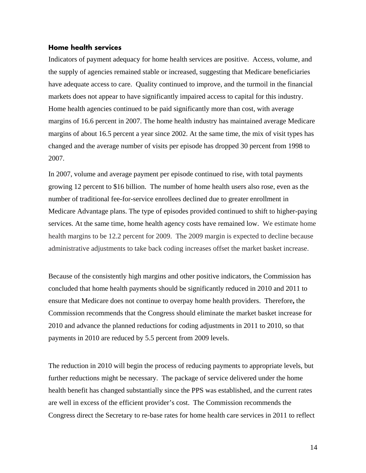#### **Home health services**

Indicators of payment adequacy for home health services are positive. Access, volume, and the supply of agencies remained stable or increased, suggesting that Medicare beneficiaries have adequate access to care. Quality continued to improve, and the turmoil in the financial markets does not appear to have significantly impaired access to capital for this industry. Home health agencies continued to be paid significantly more than cost, with average margins of 16.6 percent in 2007. The home health industry has maintained average Medicare margins of about 16.5 percent a year since 2002. At the same time, the mix of visit types has changed and the average number of visits per episode has dropped 30 percent from 1998 to 2007.

In 2007, volume and average payment per episode continued to rise, with total payments growing 12 percent to \$16 billion. The number of home health users also rose, even as the number of traditional fee-for-service enrollees declined due to greater enrollment in Medicare Advantage plans. The type of episodes provided continued to shift to higher-paying services. At the same time, home health agency costs have remained low. We estimate home health margins to be 12.2 percent for 2009. The 2009 margin is expected to decline because administrative adjustments to take back coding increases offset the market basket increase.

Because of the consistently high margins and other positive indicators, the Commission has concluded that home health payments should be significantly reduced in 2010 and 2011 to ensure that Medicare does not continue to overpay home health providers. Therefore**,** the Commission recommends that the Congress should eliminate the market basket increase for 2010 and advance the planned reductions for coding adjustments in 2011 to 2010, so that payments in 2010 are reduced by 5.5 percent from 2009 levels.

The reduction in 2010 will begin the process of reducing payments to appropriate levels, but further reductions might be necessary. The package of service delivered under the home health benefit has changed substantially since the PPS was established, and the current rates are well in excess of the efficient provider's cost. The Commission recommends the Congress direct the Secretary to re-base rates for home health care services in 2011 to reflect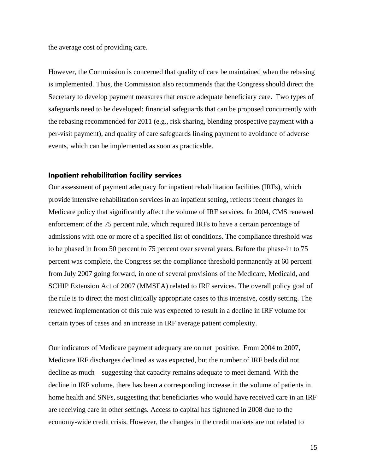the average cost of providing care.

However, the Commission is concerned that quality of care be maintained when the rebasing is implemented. Thus, the Commission also recommends that the Congress should direct the Secretary to develop payment measures that ensure adequate beneficiary care**.** Two types of safeguards need to be developed: financial safeguards that can be proposed concurrently with the rebasing recommended for 2011 (e.g., risk sharing, blending prospective payment with a per-visit payment), and quality of care safeguards linking payment to avoidance of adverse events, which can be implemented as soon as practicable.

#### **Inpatient rehabilitation facility services**

Our assessment of payment adequacy for inpatient rehabilitation facilities (IRFs), which provide intensive rehabilitation services in an inpatient setting, reflects recent changes in Medicare policy that significantly affect the volume of IRF services. In 2004, CMS renewed enforcement of the 75 percent rule, which required IRFs to have a certain percentage of admissions with one or more of a specified list of conditions. The compliance threshold was to be phased in from 50 percent to 75 percent over several years. Before the phase-in to 75 percent was complete, the Congress set the compliance threshold permanently at 60 percent from July 2007 going forward, in one of several provisions of the Medicare, Medicaid, and SCHIP Extension Act of 2007 (MMSEA) related to IRF services. The overall policy goal of the rule is to direct the most clinically appropriate cases to this intensive, costly setting. The renewed implementation of this rule was expected to result in a decline in IRF volume for certain types of cases and an increase in IRF average patient complexity.

Our indicators of Medicare payment adequacy are on net positive. From 2004 to 2007, Medicare IRF discharges declined as was expected, but the number of IRF beds did not decline as much—suggesting that capacity remains adequate to meet demand. With the decline in IRF volume, there has been a corresponding increase in the volume of patients in home health and SNFs, suggesting that beneficiaries who would have received care in an IRF are receiving care in other settings. Access to capital has tightened in 2008 due to the economy-wide credit crisis. However, the changes in the credit markets are not related to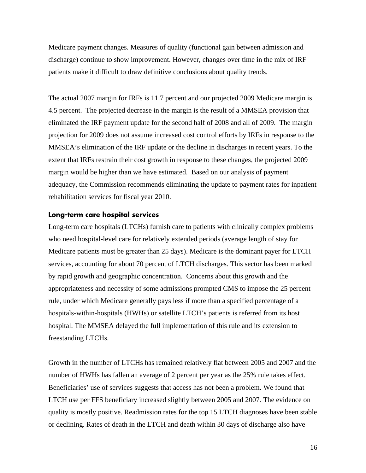Medicare payment changes. Measures of quality (functional gain between admission and discharge) continue to show improvement. However, changes over time in the mix of IRF patients make it difficult to draw definitive conclusions about quality trends.

The actual 2007 margin for IRFs is 11.7 percent and our projected 2009 Medicare margin is 4.5 percent. The projected decrease in the margin is the result of a MMSEA provision that eliminated the IRF payment update for the second half of 2008 and all of 2009. The margin projection for 2009 does not assume increased cost control efforts by IRFs in response to the MMSEA's elimination of the IRF update or the decline in discharges in recent years. To the extent that IRFs restrain their cost growth in response to these changes, the projected 2009 margin would be higher than we have estimated. Based on our analysis of payment adequacy, the Commission recommends eliminating the update to payment rates for inpatient rehabilitation services for fiscal year 2010.

#### **Long-term care hospital services**

Long-term care hospitals (LTCHs) furnish care to patients with clinically complex problems who need hospital-level care for relatively extended periods (average length of stay for Medicare patients must be greater than 25 days). Medicare is the dominant payer for LTCH services, accounting for about 70 percent of LTCH discharges. This sector has been marked by rapid growth and geographic concentration. Concerns about this growth and the appropriateness and necessity of some admissions prompted CMS to impose the 25 percent rule, under which Medicare generally pays less if more than a specified percentage of a hospitals-within-hospitals (HWHs) or satellite LTCH's patients is referred from its host hospital. The MMSEA delayed the full implementation of this rule and its extension to freestanding LTCHs.

Growth in the number of LTCHs has remained relatively flat between 2005 and 2007 and the number of HWHs has fallen an average of 2 percent per year as the 25% rule takes effect. Beneficiaries' use of services suggests that access has not been a problem. We found that LTCH use per FFS beneficiary increased slightly between 2005 and 2007. The evidence on quality is mostly positive. Readmission rates for the top 15 LTCH diagnoses have been stable or declining. Rates of death in the LTCH and death within 30 days of discharge also have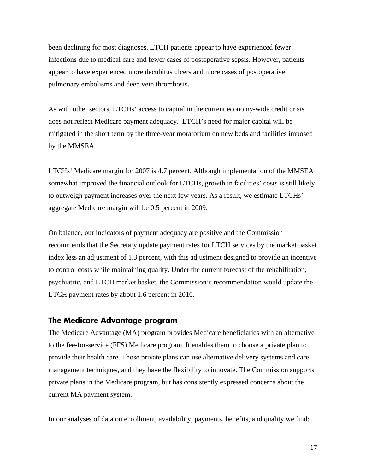been declining for most diagnoses. LTCH patients appear to have experienced fewer infections due to medical care and fewer cases of postoperative sepsis. However, patients appear to have experienced more decubitus ulcers and more cases of postoperative pulmonary embolisms and deep vein thrombosis.

As with other sectors, LTCHs' access to capital in the current economy-wide credit crisis does not reflect Medicare payment adequacy. LTCH's need for major capital will be mitigated in the short term by the three-year moratorium on new beds and facilities imposed by the MMSEA.

LTCHs' Medicare margin for 2007 is 4.7 percent. Although implementation of the MMSEA somewhat improved the financial outlook for LTCHs, growth in facilities' costs is still likely to outweigh payment increases over the next few years. As a result, we estimate LTCHs' aggregate Medicare margin will be 0.5 percent in 2009.

On balance, our indicators of payment adequacy are positive and the Commission recommends that the Secretary update payment rates for LTCH services by the market basket index less an adjustment of 1.3 percent, with this adjustment designed to provide an incentive to control costs while maintaining quality. Under the current forecast of the rehabilitation, psychiatric, and LTCH market basket, the Commission's recommendation would update the LTCH payment rates by about 1.6 percent in 2010.

#### **The Medicare Advantage program**

The Medicare Advantage (MA) program provides Medicare beneficiaries with an alternative to the fee-for-service (FFS) Medicare program. It enables them to choose a private plan to provide their health care. Those private plans can use alternative delivery systems and care management techniques, and they have the flexibility to innovate. The Commission supports private plans in the Medicare program, but has consistently expressed concerns about the current MA payment system.

In our analyses of data on enrollment, availability, payments, benefits, and quality we find: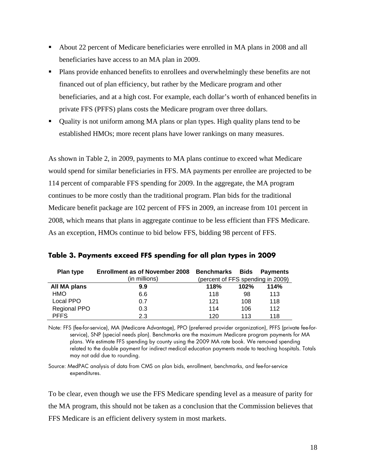- About 22 percent of Medicare beneficiaries were enrolled in MA plans in 2008 and all beneficiaries have access to an MA plan in 2009.
- Plans provide enhanced benefits to enrollees and overwhelmingly these benefits are not financed out of plan efficiency, but rather by the Medicare program and other beneficiaries, and at a high cost. For example, each dollar's worth of enhanced benefits in private FFS (PFFS) plans costs the Medicare program over three dollars.
- Quality is not uniform among MA plans or plan types. High quality plans tend to be established HMOs; more recent plans have lower rankings on many measures.

As shown in Table 2, in 2009, payments to MA plans continue to exceed what Medicare would spend for similar beneficiaries in FFS. MA payments per enrollee are projected to be 114 percent of comparable FFS spending for 2009. In the aggregate, the MA program continues to be more costly than the traditional program. Plan bids for the traditional Medicare benefit package are 102 percent of FFS in 2009, an increase from 101 percent in 2008, which means that plans in aggregate continue to be less efficient than FFS Medicare. As an exception, HMOs continue to bid below FFS, bidding 98 percent of FFS.

| Plan type           | <b>Enrollment as of November 2008</b> | <b>Benchmarks</b>                 | <b>Bids</b> | Payments |
|---------------------|---------------------------------------|-----------------------------------|-------------|----------|
|                     | (in millions)                         | (percent of FFS spending in 2009) |             |          |
| All MA plans        | 9.9                                   | 118%                              | 102%        | 114%     |
| <b>HMO</b>          | 6.6                                   | 118                               | 98          | 113      |
| Local PPO           | 0.7                                   | 121                               | 108         | 118      |
| <b>Regional PPO</b> | 0.3                                   | 114                               | 106         | 112      |
| <b>PFFS</b>         | 2.3                                   | 120                               | 113         | 118      |

**Table 3. Payments exceed FFS spending for all plan types in 2009** 

Note: FFS (fee-for-service), MA (Medicare Advantage), PPO (preferred provider organization), PFFS (private fee-forservice), SNP (special needs plan). Benchmarks are the maximum Medicare program payments for MA plans. We estimate FFS spending by county using the 2009 MA rate book. We removed spending related to the double payment for indirect medical education payments made to teaching hospitals. Totals may not add due to rounding.

Source: MedPAC analysis of data from CMS on plan bids, enrollment, benchmarks, and fee-for-service expenditures.

To be clear, even though we use the FFS Medicare spending level as a measure of parity for the MA program, this should not be taken as a conclusion that the Commission believes that FFS Medicare is an efficient delivery system in most markets.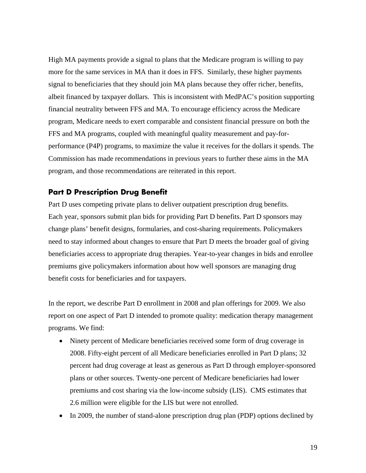High MA payments provide a signal to plans that the Medicare program is willing to pay more for the same services in MA than it does in FFS. Similarly, these higher payments signal to beneficiaries that they should join MA plans because they offer richer, benefits, albeit financed by taxpayer dollars. This is inconsistent with MedPAC's position supporting financial neutrality between FFS and MA. To encourage efficiency across the Medicare program, Medicare needs to exert comparable and consistent financial pressure on both the FFS and MA programs, coupled with meaningful quality measurement and pay-forperformance (P4P) programs, to maximize the value it receives for the dollars it spends. The Commission has made recommendations in previous years to further these aims in the MA program, and those recommendations are reiterated in this report.

## **Part D Prescription Drug Benefit**

Part D uses competing private plans to deliver outpatient prescription drug benefits. Each year, sponsors submit plan bids for providing Part D benefits. Part D sponsors may change plans' benefit designs, formularies, and cost-sharing requirements. Policymakers need to stay informed about changes to ensure that Part D meets the broader goal of giving beneficiaries access to appropriate drug therapies. Year-to-year changes in bids and enrollee premiums give policymakers information about how well sponsors are managing drug benefit costs for beneficiaries and for taxpayers.

In the report, we describe Part D enrollment in 2008 and plan offerings for 2009. We also report on one aspect of Part D intended to promote quality: medication therapy management programs. We find:

- Ninety percent of Medicare beneficiaries received some form of drug coverage in 2008. Fifty-eight percent of all Medicare beneficiaries enrolled in Part D plans; 32 percent had drug coverage at least as generous as Part D through employer-sponsored plans or other sources. Twenty-one percent of Medicare beneficiaries had lower premiums and cost sharing via the low-income subsidy (LIS). CMS estimates that 2.6 million were eligible for the LIS but were not enrolled.
- In 2009, the number of stand-alone prescription drug plan (PDP) options declined by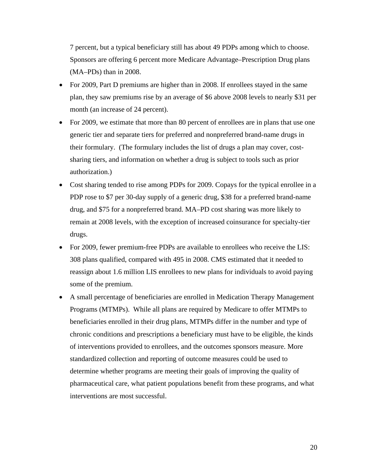7 percent, but a typical beneficiary still has about 49 PDPs among which to choose. Sponsors are offering 6 percent more Medicare Advantage–Prescription Drug plans (MA–PDs) than in 2008.

- For 2009, Part D premiums are higher than in 2008. If enrollees stayed in the same plan, they saw premiums rise by an average of \$6 above 2008 levels to nearly \$31 per month (an increase of 24 percent).
- For 2009, we estimate that more than 80 percent of enrollees are in plans that use one generic tier and separate tiers for preferred and nonpreferred brand-name drugs in their formulary. (The formulary includes the list of drugs a plan may cover, costsharing tiers, and information on whether a drug is subject to tools such as prior authorization.)
- Cost sharing tended to rise among PDPs for 2009. Copays for the typical enrollee in a PDP rose to \$7 per 30-day supply of a generic drug, \$38 for a preferred brand-name drug, and \$75 for a nonpreferred brand. MA–PD cost sharing was more likely to remain at 2008 levels, with the exception of increased coinsurance for specialty-tier drugs.
- For 2009, fewer premium-free PDPs are available to enrollees who receive the LIS: 308 plans qualified, compared with 495 in 2008. CMS estimated that it needed to reassign about 1.6 million LIS enrollees to new plans for individuals to avoid paying some of the premium.
- A small percentage of beneficiaries are enrolled in Medication Therapy Management Programs (MTMPs). While all plans are required by Medicare to offer MTMPs to beneficiaries enrolled in their drug plans, MTMPs differ in the number and type of chronic conditions and prescriptions a beneficiary must have to be eligible, the kinds of interventions provided to enrollees, and the outcomes sponsors measure. More standardized collection and reporting of outcome measures could be used to determine whether programs are meeting their goals of improving the quality of pharmaceutical care, what patient populations benefit from these programs, and what interventions are most successful.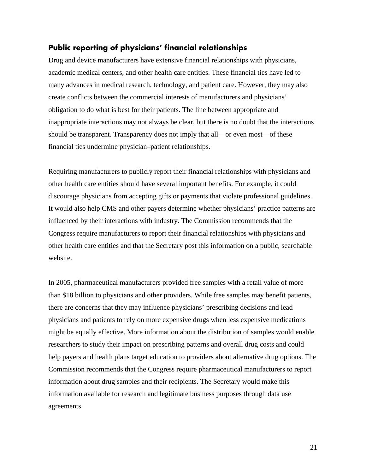## **Public reporting of physicians' financial relationships**

Drug and device manufacturers have extensive financial relationships with physicians, academic medical centers, and other health care entities. These financial ties have led to many advances in medical research, technology, and patient care. However, they may also create conflicts between the commercial interests of manufacturers and physicians' obligation to do what is best for their patients. The line between appropriate and inappropriate interactions may not always be clear, but there is no doubt that the interactions should be transparent. Transparency does not imply that all—or even most—of these financial ties undermine physician–patient relationships.

Requiring manufacturers to publicly report their financial relationships with physicians and other health care entities should have several important benefits. For example, it could discourage physicians from accepting gifts or payments that violate professional guidelines. It would also help CMS and other payers determine whether physicians' practice patterns are influenced by their interactions with industry. The Commission recommends that the Congress require manufacturers to report their financial relationships with physicians and other health care entities and that the Secretary post this information on a public, searchable website.

In 2005, pharmaceutical manufacturers provided free samples with a retail value of more than \$18 billion to physicians and other providers. While free samples may benefit patients, there are concerns that they may influence physicians' prescribing decisions and lead physicians and patients to rely on more expensive drugs when less expensive medications might be equally effective. More information about the distribution of samples would enable researchers to study their impact on prescribing patterns and overall drug costs and could help payers and health plans target education to providers about alternative drug options. The Commission recommends that the Congress require pharmaceutical manufacturers to report information about drug samples and their recipients. The Secretary would make this information available for research and legitimate business purposes through data use agreements.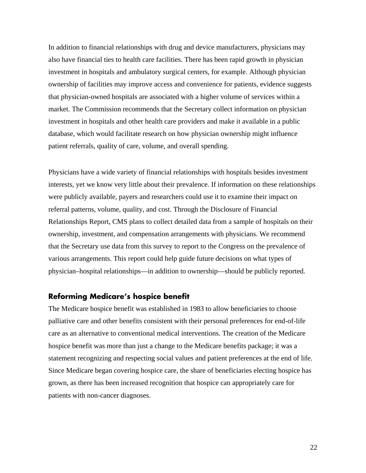In addition to financial relationships with drug and device manufacturers, physicians may also have financial ties to health care facilities. There has been rapid growth in physician investment in hospitals and ambulatory surgical centers, for example. Although physician ownership of facilities may improve access and convenience for patients, evidence suggests that physician-owned hospitals are associated with a higher volume of services within a market. The Commission recommends that the Secretary collect information on physician investment in hospitals and other health care providers and make it available in a public database, which would facilitate research on how physician ownership might influence patient referrals, quality of care, volume, and overall spending.

Physicians have a wide variety of financial relationships with hospitals besides investment interests, yet we know very little about their prevalence. If information on these relationships were publicly available, payers and researchers could use it to examine their impact on referral patterns, volume, quality, and cost. Through the Disclosure of Financial Relationships Report, CMS plans to collect detailed data from a sample of hospitals on their ownership, investment, and compensation arrangements with physicians. We recommend that the Secretary use data from this survey to report to the Congress on the prevalence of various arrangements. This report could help guide future decisions on what types of physician–hospital relationships—in addition to ownership—should be publicly reported.

## **Reforming Medicare's hospice benefit**

The Medicare hospice benefit was established in 1983 to allow beneficiaries to choose palliative care and other benefits consistent with their personal preferences for end-of-life care as an alternative to conventional medical interventions. The creation of the Medicare hospice benefit was more than just a change to the Medicare benefits package; it was a statement recognizing and respecting social values and patient preferences at the end of life. Since Medicare began covering hospice care, the share of beneficiaries electing hospice has grown, as there has been increased recognition that hospice can appropriately care for patients with non-cancer diagnoses.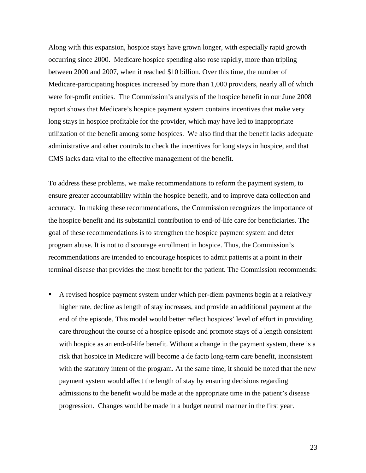Along with this expansion, hospice stays have grown longer, with especially rapid growth occurring since 2000. Medicare hospice spending also rose rapidly, more than tripling between 2000 and 2007, when it reached \$10 billion. Over this time, the number of Medicare-participating hospices increased by more than 1,000 providers, nearly all of which were for-profit entities. The Commission's analysis of the hospice benefit in our June 2008 report shows that Medicare's hospice payment system contains incentives that make very long stays in hospice profitable for the provider, which may have led to inappropriate utilization of the benefit among some hospices. We also find that the benefit lacks adequate administrative and other controls to check the incentives for long stays in hospice, and that CMS lacks data vital to the effective management of the benefit.

To address these problems, we make recommendations to reform the payment system, to ensure greater accountability within the hospice benefit, and to improve data collection and accuracy. In making these recommendations, the Commission recognizes the importance of the hospice benefit and its substantial contribution to end-of-life care for beneficiaries. The goal of these recommendations is to strengthen the hospice payment system and deter program abuse. It is not to discourage enrollment in hospice. Thus, the Commission's recommendations are intended to encourage hospices to admit patients at a point in their terminal disease that provides the most benefit for the patient. The Commission recommends:

 A revised hospice payment system under which per-diem payments begin at a relatively higher rate, decline as length of stay increases, and provide an additional payment at the end of the episode. This model would better reflect hospices' level of effort in providing care throughout the course of a hospice episode and promote stays of a length consistent with hospice as an end-of-life benefit. Without a change in the payment system, there is a risk that hospice in Medicare will become a de facto long-term care benefit, inconsistent with the statutory intent of the program. At the same time, it should be noted that the new payment system would affect the length of stay by ensuring decisions regarding admissions to the benefit would be made at the appropriate time in the patient's disease progression. Changes would be made in a budget neutral manner in the first year.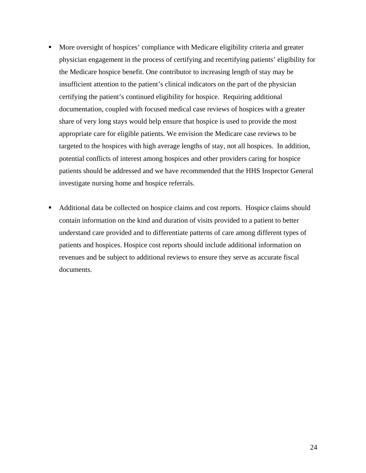- More oversight of hospices' compliance with Medicare eligibility criteria and greater physician engagement in the process of certifying and recertifying patients' eligibility for the Medicare hospice benefit. One contributor to increasing length of stay may be insufficient attention to the patient's clinical indicators on the part of the physician certifying the patient's continued eligibility for hospice. Requiring additional documentation, coupled with focused medical case reviews of hospices with a greater share of very long stays would help ensure that hospice is used to provide the most appropriate care for eligible patients. We envision the Medicare case reviews to be targeted to the hospices with high average lengths of stay, not all hospices. In addition, potential conflicts of interest among hospices and other providers caring for hospice patients should be addressed and we have recommended that the HHS Inspector General investigate nursing home and hospice referrals.
- Additional data be collected on hospice claims and cost reports. Hospice claims should contain information on the kind and duration of visits provided to a patient to better understand care provided and to differentiate patterns of care among different types of patients and hospices. Hospice cost reports should include additional information on revenues and be subject to additional reviews to ensure they serve as accurate fiscal documents.